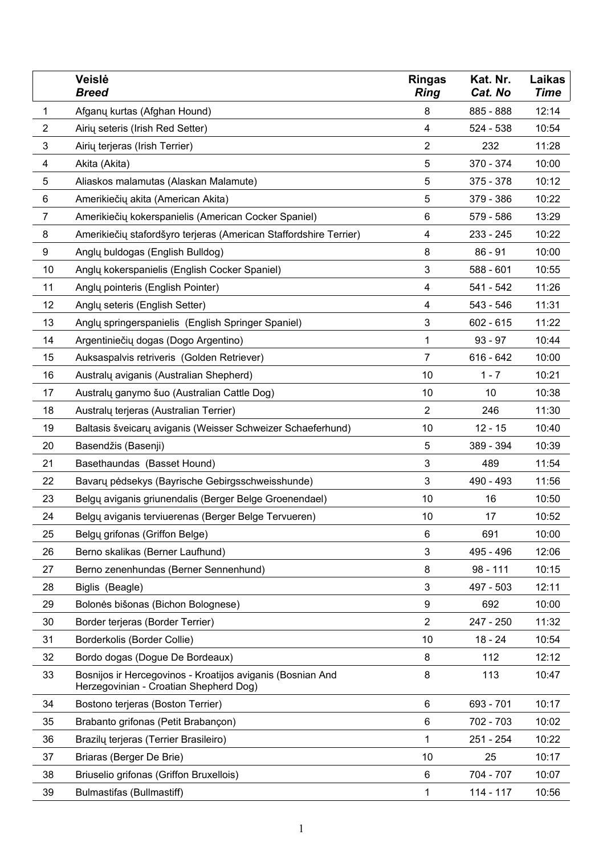|                | Veislė<br>Breed                                                                                      | Ringas<br><b>Ring</b>   | Kat. Nr.<br>Cat. No | Laikas<br>Time |
|----------------|------------------------------------------------------------------------------------------------------|-------------------------|---------------------|----------------|
| 1              | Afganų kurtas (Afghan Hound)                                                                         | 8                       | 885 - 888           | 12:14          |
| $\overline{2}$ | Airių seteris (Irish Red Setter)                                                                     | 4                       | 524 - 538           | 10:54          |
| 3              | Airių terjeras (Irish Terrier)                                                                       | 2                       | 232                 | 11:28          |
| 4              | Akita (Akita)                                                                                        | 5                       | 370 - 374           | 10:00          |
| 5              | Aliaskos malamutas (Alaskan Malamute)                                                                | 5                       | 375 - 378           | 10:12          |
| 6              | Amerikiečių akita (American Akita)                                                                   | 5                       | 379 - 386           | 10:22          |
| 7              | Amerikiečių kokerspanielis (American Cocker Spaniel)                                                 | 6                       | 579 - 586           | 13:29          |
| 8              | Amerikiečių stafordšyro terjeras (American Staffordshire Terrier)                                    | 4                       | 233 - 245           | 10:22          |
| 9              | Anglų buldogas (English Bulldog)                                                                     | 8                       | $86 - 91$           | 10:00          |
| 10             | Angly kokerspanielis (English Cocker Spaniel)                                                        | 3                       | 588 - 601           | 10:55          |
| 11             | Anglų pointeris (English Pointer)                                                                    | 4                       | 541 - 542           | 11:26          |
| 12             | Anglų seteris (English Setter)                                                                       | 4                       | 543 - 546           | 11:31          |
| 13             | Anglų springerspanielis (English Springer Spaniel)                                                   | 3                       | 602 - 615           | 11:22          |
| 14             | Argentiniečių dogas (Dogo Argentino)                                                                 | 1                       | $93 - 97$           | 10:44          |
| 15             | Auksaspalvis retriveris (Golden Retriever)                                                           | 7                       | 616 - 642           | 10:00          |
| 16             | Australų aviganis (Australian Shepherd)                                                              | 10                      | $1 - 7$             | 10:21          |
| 17             | Australų ganymo šuo (Australian Cattle Dog)                                                          | 10                      | 10                  | 10:38          |
| 18             | Australų terjeras (Australian Terrier)                                                               | $\overline{\mathbf{c}}$ | 246                 | 11:30          |
| 19             | Baltasis šveicarų aviganis (Weisser Schweizer Schaeferhund)                                          | 10                      | $12 - 15$           | 10:40          |
| 20             | Basendžis (Basenji)                                                                                  | 5                       | 389 - 394           | 10:39          |
| 21             | Basethaundas (Basset Hound)                                                                          | 3                       | 489                 | 11:54          |
| 22             | Bavarų pėdsekys (Bayrische Gebirgsschweisshunde)                                                     | 3                       | 490 - 493           | 11:56          |
| 23             | Belgų aviganis griunendalis (Berger Belge Groenendael)                                               | 10                      | 16                  | 10:50          |
| 24             | Belgų aviganis terviuerenas (Berger Belge Tervueren)                                                 | 10                      | 17                  | 10:52          |
| 25             | Belgu grifonas (Griffon Belge)                                                                       | 6                       | 691                 | 10:00          |
| 26             | Berno skalikas (Berner Laufhund)                                                                     | 3                       | 495 - 496           | 12:06          |
| 27             | Berno zenenhundas (Berner Sennenhund)                                                                | 8                       | $98 - 111$          | 10:15          |
| 28             | Biglis (Beagle)                                                                                      | 3                       | 497 - 503           | 12:11          |
| 29             | Bolonės bišonas (Bichon Bolognese)                                                                   | 9                       | 692                 | 10:00          |
| 30             | Border terjeras (Border Terrier)                                                                     | 2                       | 247 - 250           | 11:32          |
| 31             | Borderkolis (Border Collie)                                                                          | 10                      | $18 - 24$           | 10:54          |
| 32             | Bordo dogas (Dogue De Bordeaux)                                                                      | 8                       | 112                 | 12:12          |
| 33             | Bosnijos ir Hercegovinos - Kroatijos aviganis (Bosnian And<br>Herzegovinian - Croatian Shepherd Dog) | 8                       | 113                 | 10:47          |
| 34             | Bostono terjeras (Boston Terrier)                                                                    | 6                       | 693 - 701           | 10:17          |
| 35             | Brabanto grifonas (Petit Brabançon)                                                                  | 6                       | 702 - 703           | 10:02          |
| 36             | Brazilų terjeras (Terrier Brasileiro)                                                                | 1                       | 251 - 254           | 10:22          |
| 37             | Briaras (Berger De Brie)                                                                             | 10                      | 25                  | 10:17          |
| 38             | Briuselio grifonas (Griffon Bruxellois)                                                              | 6                       | 704 - 707           | 10:07          |
| 39             | Bulmastifas (Bullmastiff)                                                                            | 1                       | 114 - 117           | 10:56          |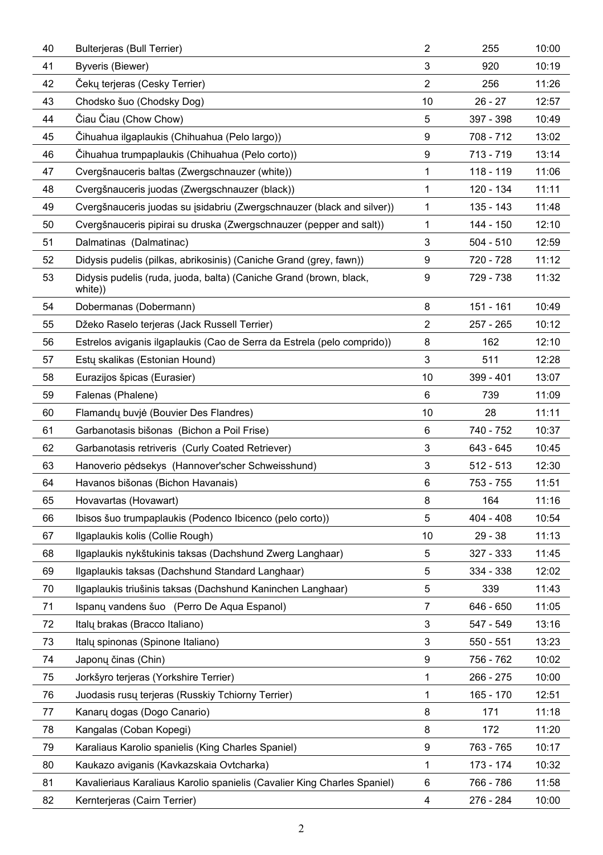| 40 | Bulterjeras (Bull Terrier)                                                    | 2              | 255       | 10:00 |
|----|-------------------------------------------------------------------------------|----------------|-----------|-------|
| 41 | Byveris (Biewer)                                                              | 3              | 920       | 10:19 |
| 42 | Cekų terjeras (Cesky Terrier)                                                 | $\overline{2}$ | 256       | 11:26 |
| 43 | Chodsko šuo (Chodsky Dog)                                                     | 10             | 26 - 27   | 12:57 |
| 44 | Ciau Ciau (Chow Chow)                                                         | 5              | 397 - 398 | 10:49 |
| 45 | Čihuahua ilgaplaukis (Chihuahua (Pelo largo))                                 | 9              | 708 - 712 | 13:02 |
| 46 | Cihuahua trumpaplaukis (Chihuahua (Pelo corto))                               | 9              | 713 - 719 | 13:14 |
| 47 | Cvergšnauceris baltas (Zwergschnauzer (white))                                | 1              | 118 - 119 | 11:06 |
| 48 | Cvergšnauceris juodas (Zwergschnauzer (black))                                | 1              | 120 - 134 | 11:11 |
| 49 | Cvergšnauceris juodas su įsidabriu (Zwergschnauzer (black and silver))        | 1              | 135 - 143 | 11:48 |
| 50 | Cvergšnauceris pipirai su druska (Zwergschnauzer (pepper and salt))           | 1              | 144 - 150 | 12:10 |
| 51 | Dalmatinas (Dalmatinac)                                                       | 3              | 504 - 510 | 12:59 |
| 52 | Didysis pudelis (pilkas, abrikosinis) (Caniche Grand (grey, fawn))            | 9              | 720 - 728 | 11:12 |
| 53 | Didysis pudelis (ruda, juoda, balta) (Caniche Grand (brown, black,<br>white)) | 9              | 729 - 738 | 11:32 |
| 54 | Dobermanas (Dobermann)                                                        | 8              | 151 - 161 | 10:49 |
| 55 | Džeko Raselo terjeras (Jack Russell Terrier)                                  | 2              | 257 - 265 | 10:12 |
| 56 | Estrelos aviganis ilgaplaukis (Cao de Serra da Estrela (pelo comprido))       | 8              | 162       | 12:10 |
| 57 | Estų skalikas (Estonian Hound)                                                | 3              | 511       | 12:28 |
| 58 | Eurazijos špicas (Eurasier)                                                   | 10             | 399 - 401 | 13:07 |
| 59 | Falenas (Phalene)                                                             | 6              | 739       | 11:09 |
| 60 | Flamandų buvjė (Bouvier Des Flandres)                                         | 10             | 28        | 11:11 |
| 61 | Garbanotasis bišonas (Bichon a Poil Frise)                                    | 6              | 740 - 752 | 10:37 |
| 62 | Garbanotasis retriveris (Curly Coated Retriever)                              | 3              | 643 - 645 | 10:45 |
| 63 | Hanoverio pėdsekys (Hannover'scher Schweisshund)                              | 3              | 512 - 513 | 12:30 |
| 64 | Havanos bišonas (Bichon Havanais)                                             | 6              | 753 - 755 | 11:51 |
| 65 | Hovavartas (Hovawart)                                                         | 8              | 164       | 11:16 |
| 66 | Ibisos šuo trumpaplaukis (Podenco Ibicenco (pelo corto))                      | 5              | 404 - 408 | 10:54 |
| 67 | Ilgaplaukis kolis (Collie Rough)                                              | 10             | 29 - 38   | 11:13 |
| 68 | Ilgaplaukis nykštukinis taksas (Dachshund Zwerg Langhaar)                     | 5              | 327 - 333 | 11:45 |
| 69 | Ilgaplaukis taksas (Dachshund Standard Langhaar)                              | 5              | 334 - 338 | 12:02 |
| 70 | Ilgaplaukis triušinis taksas (Dachshund Kaninchen Langhaar)                   | 5              | 339       | 11:43 |
| 71 | Ispanų vandens šuo (Perro De Aqua Espanol)                                    | 7              | 646 - 650 | 11:05 |
| 72 | Italy brakas (Bracco Italiano)                                                | 3              | 547 - 549 | 13:16 |
| 73 | Italų spinonas (Spinone Italiano)                                             | 3              | 550 - 551 | 13:23 |
| 74 | Japonų činas (Chin)                                                           | 9              | 756 - 762 | 10:02 |
| 75 | Jorkšyro terjeras (Yorkshire Terrier)                                         | 1              | 266 - 275 | 10:00 |
| 76 | Juodasis rusų terjeras (Russkiy Tchiorny Terrier)                             | 1              | 165 - 170 | 12:51 |
| 77 | Kanary dogas (Dogo Canario)                                                   | 8              | 171       | 11:18 |
| 78 | Kangalas (Coban Kopegi)                                                       | 8              | 172       | 11:20 |
| 79 | Karaliaus Karolio spanielis (King Charles Spaniel)                            | 9              | 763 - 765 | 10:17 |
| 80 | Kaukazo aviganis (Kavkazskaia Ovtcharka)                                      | 1              | 173 - 174 | 10:32 |
| 81 | Kavalieriaus Karaliaus Karolio spanielis (Cavalier King Charles Spaniel)      | 6              | 766 - 786 | 11:58 |
| 82 | Kernterjeras (Cairn Terrier)                                                  | 4              | 276 - 284 | 10:00 |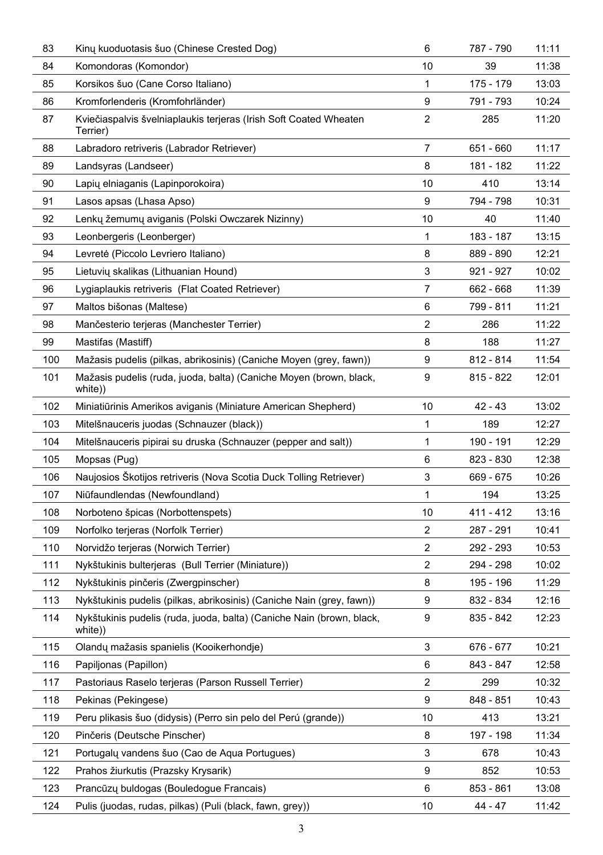| 83  | Kinų kuoduotasis šuo (Chinese Crested Dog)                                       | 6              | 787 - 790 | 11:11 |
|-----|----------------------------------------------------------------------------------|----------------|-----------|-------|
| 84  | Komondoras (Komondor)                                                            | 10             | 39        | 11:38 |
| 85  | Korsikos šuo (Cane Corso Italiano)                                               | 1              | 175 - 179 | 13:03 |
| 86  | Kromforlenderis (Kromfohrländer)                                                 | 9              | 791 - 793 | 10:24 |
| 87  | Kviečiaspalvis švelniaplaukis terjeras (Irish Soft Coated Wheaten<br>Terrier)    | $\overline{2}$ | 285       | 11:20 |
| 88  | Labradoro retriveris (Labrador Retriever)                                        | $\overline{7}$ | 651 - 660 | 11:17 |
| 89  | Landsyras (Landseer)                                                             | 8              | 181 - 182 | 11:22 |
| 90  | Lapių elniaganis (Lapinporokoira)                                                | 10             | 410       | 13:14 |
| 91  | Lasos apsas (Lhasa Apso)                                                         | 9              | 794 - 798 | 10:31 |
| 92  | Lenkų žemumų aviganis (Polski Owczarek Nizinny)                                  | 10             | 40        | 11:40 |
| 93  | Leonbergeris (Leonberger)                                                        | $\mathbf{1}$   | 183 - 187 | 13:15 |
| 94  | Levretė (Piccolo Levriero Italiano)                                              | 8              | 889 - 890 | 12:21 |
| 95  | Lietuvių skalikas (Lithuanian Hound)                                             | 3              | 921 - 927 | 10:02 |
| 96  | Lygiaplaukis retriveris (Flat Coated Retriever)                                  | 7              | 662 - 668 | 11:39 |
| 97  | Maltos bišonas (Maltese)                                                         | 6              | 799 - 811 | 11:21 |
| 98  | Mančesterio terjeras (Manchester Terrier)                                        | $\overline{2}$ | 286       | 11:22 |
| 99  | Mastifas (Mastiff)                                                               | 8              | 188       | 11:27 |
| 100 | Mažasis pudelis (pilkas, abrikosinis) (Caniche Moyen (grey, fawn))               | 9              | 812 - 814 | 11:54 |
| 101 | Mažasis pudelis (ruda, juoda, balta) (Caniche Moyen (brown, black,<br>white))    | 9              | 815 - 822 | 12:01 |
| 102 | Miniatiūrinis Amerikos aviganis (Miniature American Shepherd)                    | 10             | 42 - 43   | 13:02 |
| 103 | Mitelšnauceris juodas (Schnauzer (black))                                        | 1              | 189       | 12:27 |
| 104 | Mitelšnauceris pipirai su druska (Schnauzer (pepper and salt))                   | 1              | 190 - 191 | 12:29 |
| 105 | Mopsas (Pug)                                                                     | 6              | 823 - 830 | 12:38 |
| 106 | Naujosios Skotijos retriveris (Nova Scotia Duck Tolling Retriever)               | 3              | 669 - 675 | 10:26 |
| 107 | Niūfaundlendas (Newfoundland)                                                    | $\mathbf{1}$   | 194       | 13:25 |
| 108 | Norboteno špicas (Norbottenspets)                                                | 10             | 411 - 412 | 13:16 |
| 109 | Norfolko terjeras (Norfolk Terrier)                                              | $\overline{2}$ | 287 - 291 | 10:41 |
| 110 | Norvidžo terjeras (Norwich Terrier)                                              | $\overline{2}$ | 292 - 293 | 10:53 |
| 111 | Nykštukinis bulterjeras (Bull Terrier (Miniature))                               | $\overline{2}$ | 294 - 298 | 10:02 |
| 112 | Nykštukinis pinčeris (Zwergpinscher)                                             | 8              | 195 - 196 | 11:29 |
| 113 | Nykštukinis pudelis (pilkas, abrikosinis) (Caniche Nain (grey, fawn))            | 9              | 832 - 834 | 12:16 |
| 114 | Nykštukinis pudelis (ruda, juoda, balta) (Caniche Nain (brown, black,<br>white)) | 9              | 835 - 842 | 12:23 |
| 115 | Olandų mažasis spanielis (Kooikerhondje)                                         | 3              | 676 - 677 | 10:21 |
| 116 | Papiljonas (Papillon)                                                            | 6              | 843 - 847 | 12:58 |
| 117 | Pastoriaus Raselo terjeras (Parson Russell Terrier)                              | 2              | 299       | 10:32 |
| 118 | Pekinas (Pekingese)                                                              | 9              | 848 - 851 | 10:43 |
| 119 | Peru plikasis šuo (didysis) (Perro sin pelo del Perú (grande))                   | 10             | 413       | 13:21 |
| 120 | Pinčeris (Deutsche Pinscher)                                                     | 8              | 197 - 198 | 11:34 |
| 121 | Portugalų vandens šuo (Cao de Aqua Portugues)                                    | 3              | 678       | 10:43 |
| 122 | Prahos žiurkutis (Prazsky Krysarik)                                              | 9              | 852       | 10:53 |
| 123 | Prancūzų buldogas (Bouledogue Francais)                                          | 6              | 853 - 861 | 13:08 |
| 124 | Pulis (juodas, rudas, pilkas) (Puli (black, fawn, grey))                         | 10             | 44 - 47   | 11:42 |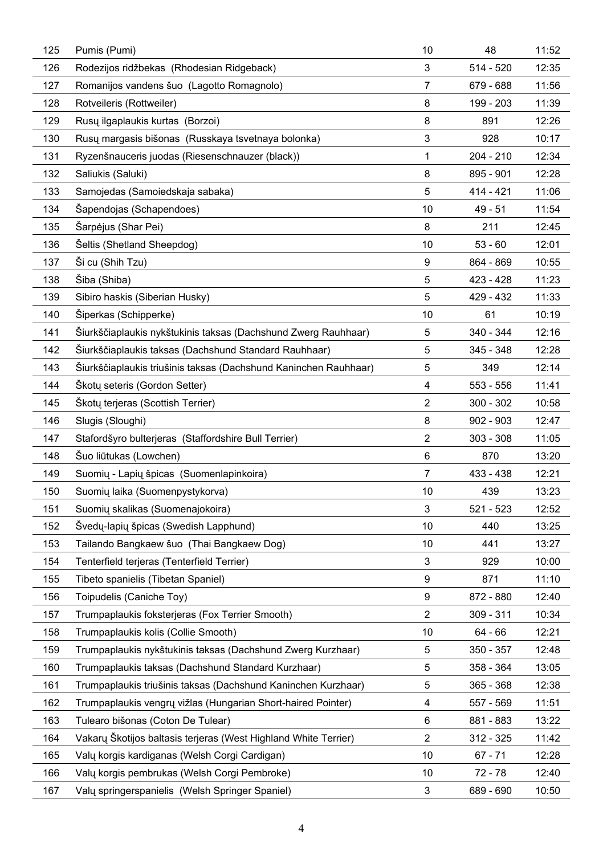| 125 | Pumis (Pumi)                                                     | 10             | 48          | 11:52 |
|-----|------------------------------------------------------------------|----------------|-------------|-------|
| 126 | Rodezijos ridžbekas (Rhodesian Ridgeback)                        | 3              | 514 - 520   | 12:35 |
| 127 | Romanijos vandens šuo (Lagotto Romagnolo)                        | 7              | 679 - 688   | 11:56 |
| 128 | Rotveileris (Rottweiler)                                         | 8              | 199 - 203   | 11:39 |
| 129 | Rusy ilgaplaukis kurtas (Borzoi)                                 | 8              | 891         | 12:26 |
| 130 | Rusų margasis bišonas (Russkaya tsvetnaya bolonka)               | 3              | 928         | 10:17 |
| 131 | Ryzenšnauceris juodas (Riesenschnauzer (black))                  | 1              | 204 - 210   | 12:34 |
| 132 | Saliukis (Saluki)                                                | 8              | 895 - 901   | 12:28 |
| 133 | Samojedas (Samoiedskaja sabaka)                                  | 5              | 414 - 421   | 11:06 |
| 134 | Sapendojas (Schapendoes)                                         | 10             | 49 - 51     | 11:54 |
| 135 | Sarpėjus (Shar Pei)                                              | 8              | 211         | 12:45 |
| 136 | Seltis (Shetland Sheepdog)                                       | 10             | $53 - 60$   | 12:01 |
| 137 | Si cu (Shih Tzu)                                                 | 9              | 864 - 869   | 10:55 |
| 138 | Siba (Shiba)                                                     | 5              | 423 - 428   | 11:23 |
| 139 | Sibiro haskis (Siberian Husky)                                   | 5              | 429 - 432   | 11:33 |
| 140 | Siperkas (Schipperke)                                            | 10             | 61          | 10:19 |
| 141 | Šiurkščiaplaukis nykštukinis taksas (Dachshund Zwerg Rauhhaar)   | 5              | 340 - 344   | 12:16 |
| 142 | Šiurkščiaplaukis taksas (Dachshund Standard Rauhhaar)            | 5              | 345 - 348   | 12:28 |
| 143 | Siurkščiaplaukis triušinis taksas (Dachshund Kaninchen Rauhhaar) | 5              | 349         | 12:14 |
| 144 | Skoty seteris (Gordon Setter)                                    | 4              | 553 - 556   | 11:41 |
| 145 | Skotų terjeras (Scottish Terrier)                                | 2              | 300 - 302   | 10:58 |
| 146 | Slugis (Sloughi)                                                 | 8              | $902 - 903$ | 12:47 |
| 147 | Stafordšyro bulterjeras (Staffordshire Bull Terrier)             | $\overline{2}$ | $303 - 308$ | 11:05 |
| 148 | Suo liūtukas (Lowchen)                                           | 6              | 870         | 13:20 |
| 149 | Suomių - Lapių špicas (Suomenlapinkoira)                         | 7              | 433 - 438   | 12:21 |
| 150 | Suomių laika (Suomenpystykorva)                                  | 10             | 439         | 13:23 |
| 151 | Suomių skalikas (Suomenajokoira)                                 | 3              | 521 - 523   | 12:52 |
| 152 | Svedų-lapių špicas (Swedish Lapphund)                            | 10             | 440         | 13:25 |
| 153 | Tailando Bangkaew šuo (Thai Bangkaew Dog)                        | 10             | 441         | 13:27 |
| 154 | Tenterfield terjeras (Tenterfield Terrier)                       | 3              | 929         | 10:00 |
| 155 | Tibeto spanielis (Tibetan Spaniel)                               | 9              | 871         | 11:10 |
| 156 | Toipudelis (Caniche Toy)                                         | 9              | 872 - 880   | 12:40 |
| 157 | Trumpaplaukis foksterjeras (Fox Terrier Smooth)                  | 2              | 309 - 311   | 10:34 |
| 158 | Trumpaplaukis kolis (Collie Smooth)                              | 10             | 64 - 66     | 12:21 |
| 159 | Trumpaplaukis nykštukinis taksas (Dachshund Zwerg Kurzhaar)      | 5              | 350 - 357   | 12:48 |
| 160 | Trumpaplaukis taksas (Dachshund Standard Kurzhaar)               | 5              | 358 - 364   | 13:05 |
| 161 | Trumpaplaukis triušinis taksas (Dachshund Kaninchen Kurzhaar)    | 5              | 365 - 368   | 12:38 |
| 162 | Trumpaplaukis vengrų vižlas (Hungarian Short-haired Pointer)     | 4              | 557 - 569   | 11:51 |
| 163 | Tulearo bišonas (Coton De Tulear)                                | 6              | 881 - 883   | 13:22 |
| 164 | Vakary Škotijos baltasis terjeras (West Highland White Terrier)  | 2              | 312 - 325   | 11:42 |
| 165 | Valų korgis kardiganas (Welsh Corgi Cardigan)                    | 10             | 67 - 71     | 12:28 |
| 166 | Valy korgis pembrukas (Welsh Corgi Pembroke)                     | 10             | 72 - 78     | 12:40 |
| 167 | Valy springerspanielis (Welsh Springer Spaniel)                  | 3              | 689 - 690   | 10:50 |